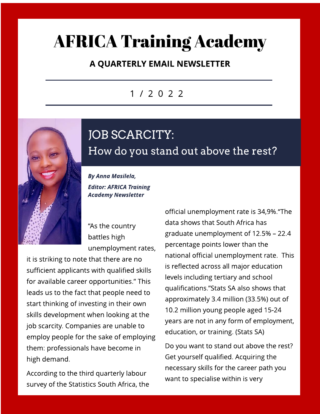## **AFRICA Training Academy**

### A QUARTERLY EMAIL NEWSLETTER

### 1 / 2 0 2 2



How do you stand out above the rest?

JOB SCARCITY:

**By Anna Masilela, Editor: AFRICA Training Academy Newsletter**

"As the country battles high unemployment rates,

it is striking to note that there are no sufficient applicants with qualified skills for available career opportunities." This leads us to the fact that people need to start thinking of investing in their own skills development when looking at the job scarcity. Companies are unable to employ people for the sake of employing them: professionals have become in high demand.

According to the third quarterly labour survey of the Statistics South Africa, the

official unemployment rate is 34,9%. "The data shows that South Africa has graduate unemployment of  $12.5% - 22.4$ percentage points lower than the national official unemployment rate. This is reflected across all major education levels including tertiary and school qualifications.?Stats SA also shows that approximately 3.4 million (33.5%) out of 10.2 million young people aged 15-24 years are not in any form of employment, education, or training. [\(Stats](http://www.statssa.gov.za/?p=14957) [SA](http://www.statssa.gov.za/?p=14957))

Do you want to stand out above the rest? Get yourself qualified. Acquiring the necessary skills for the career path you want to specialise within is very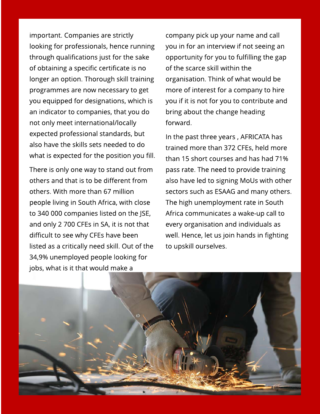important. Companies are strictly looking for professionals, hence running through qualifications just for the sake of obtaining a specific certificate is no longer an option. Thorough skill training programmes are now necessary to get you equipped for designations, which is an indicator to companies, that you do not only meet international/locally expected professional standards, but also have the skills sets needed to do what is expected for the position you fill.

There is only one way to stand out from others and that is to be different from others. With more than 67 million people living in South Africa, with close to 340 000 companies listed on the JSE, and only 2 700 CFEs in SA, it is not that difficult to see why CFEs have been listed as a critically need skill. Out of the 34,9% unemployed people looking for jobs, what is it that would make a

company pick up your name and call you in for an interview if not seeing an opportunity for you to fulfilling the gap of the scarce skill within the organisation. Think of what would be more of interest for a company to hire you if it is not for you to contribute and bring about the change heading forward.

In the past three years , AFRICATA has trained more than 372 CFEs, held more than 15 short courses and has had 71% pass rate. The need to provide training also have led to signing MoUs with other sectors such as ESAAG and many others. The high unemployment rate in South Africa communicates a wake-up call to every organisation and individuals as well. Hence, let us join hands in fighting to upskill ourselves.

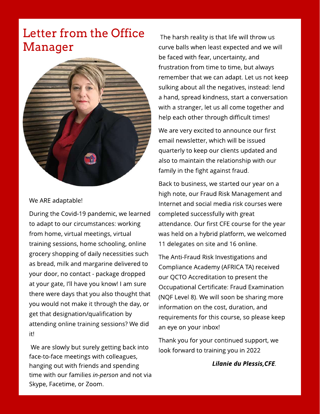### Letter from the Office Manager



#### We ARE adaptable!

During the Covid-19 pandemic, we learned to adapt to our circumstances: working from home, virtual meetings, virtual training sessions, home schooling, online grocery shopping of daily necessities such as bread, milk and margarine delivered to your door, no contact - package dropped at your gate, I?ll have you know! I am sure there were days that you also thought that you would not make it through the day, or get that designation/qualification by attending online training sessions?We did it!

We are slowly but surely getting back into face-to-face meetings with colleagues, hanging out with friends and spending time with our families **in-person** and not via Skype, Facetime, or Zoom.

The harsh reality is that life will throw us curve balls when least expected and we will be faced with fear, uncertainty, and frustration from time to time, but always remember that we can adapt. Let us not keep sulking about all the negatives, instead: lend a hand, spread kindness, start a conversation with a stranger, let us all come together and help each other through difficult times!

We are very excited to announce our first email newsletter, which will be issued quarterly to keep our clients updated and also to maintain the relationship with our family in the fight against fraud.

Back to business, we started our year on a high note, our Fraud Risk Management and Internet and social media risk courses were completed successfully with great attendance. Our first CFE course for the year was held on a hybrid platform, we welcomed 11 delegates on site and 16 online.

The Anti-Fraud Risk Investigations and Compliance Academy (AFRICA TA) received our QCTO Accreditation to present the Occupational Certificate: Fraud Examination (NQF Level 8). We will soon be sharing more information on the cost, duration, and requirements for this course, so please keep an eye on your inbox!

Thank you for your continued support, we look forward to training you in 2022

**Lilanie du Plessis,CFE.**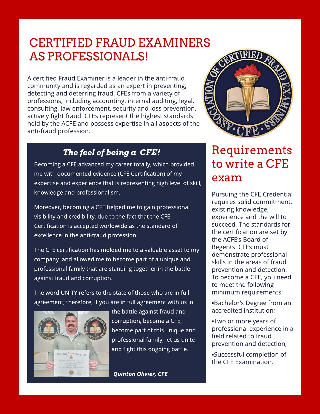### CERTIFIED FRAUD EXAMINERS ASPROFESSIONALS!

A certified Fraud Examiner is a leader in the anti-fraud community and is regarded as an expert in preventing, detecting and deterring fraud. CFEs from a variety of professions, including accounting, internal auditing, legal, consulting, law enforcement, security and loss prevention, actively fight fraud. CFEs represent the highest standards held by the ACFE and possess expertise in all aspects of the anti-fraud profession.

### **The feel of being a CFE!**

Becoming a CFE advanced my career totally, which provided me with documented evidence (CFE Certification) of my expertise and experience that is representing high level of skill, knowledge and professionalism.

Moreover, becoming a CFE helped me to gain professional visibility and credibility, due to the fact that the CFE Certification is accepted worldwide as the standard of excellence in the anti-fraud profession.

The CFE certification has molded me to a valuable asset to my company and allowed me to become part of a unique and professional family that are standing together in the battle against fraud and corruption.

The word UNITY refers to the state of those who are in full agreement, therefore, if you are in full agreement with us in



the battle against fraud and corruption, become a CFE, become part of this unique and professional family, let us unite and fight this ongoing battle.

**Quinton Olivier, CFE**



### **Requirements** to write a CFE exam

Pursuing the CFE Credential requires solid commitment, existing knowledge, experience and the will to succeed. The standards for the certification are set by the ACFE?s Board of Regents. CFEs must demonstrate professional skills in the areas of fraud prevention and detection. To become a CFE, you need to meet the following minimum requirements:

- -Bachelor?s Degree from an accredited institution;
- -Two or more years of professional experience in a field related to fraud prevention and detection;
- -Successful completion of the CFE Examination.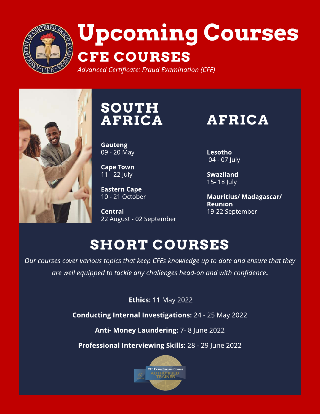

# Upcoming Courses CFE COURSES

**Advanced Certificate: Fraud Examination (CFE)**



# **SOUTH**

**Gauteng** 09 - 20 May

Cape Town 11 - 22 July

**Eastern Cape** 10 - 21 October

Central 22 August - 02 September

AFRICA AFRICA

**Lesotho** 04 - 07 July

Swaziland 15- 18 July

Mauritius/ Madagascar/ Reunion 19-22 September

## **SHORT COURSES**

**Our coursescover varioustopicsthat keep CFEsknowledge up to date and ensure that they are well equipped to tackle any challengeshead-on and with confidence**.

**Ethics: 11 May 2022** 

Conducting Internal Investigations: 24 - 25 May 2022

Anti- Money Laundering: 7-8 June 2022

Professional Interviewing Skills: 28 - 29 June 2022

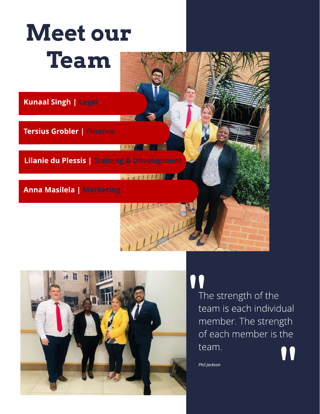



## $\overline{a}$

The strength of the team is each individual member. The strength of each member is the team. **"** 

**Phil Jackson**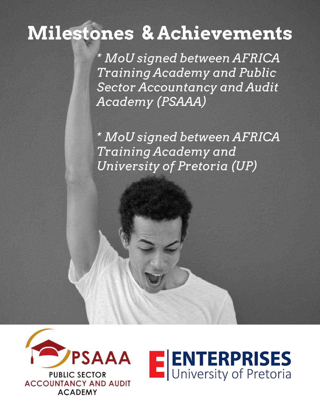## Milestones & Achievements

**\* M oU signed between AFRI CA Training Academy and Public Sector Accountancy and Audit Academy (PSAAA)**

**\* M oU signed between AFRI CA Training Academy and University of Pretoria (UP)**